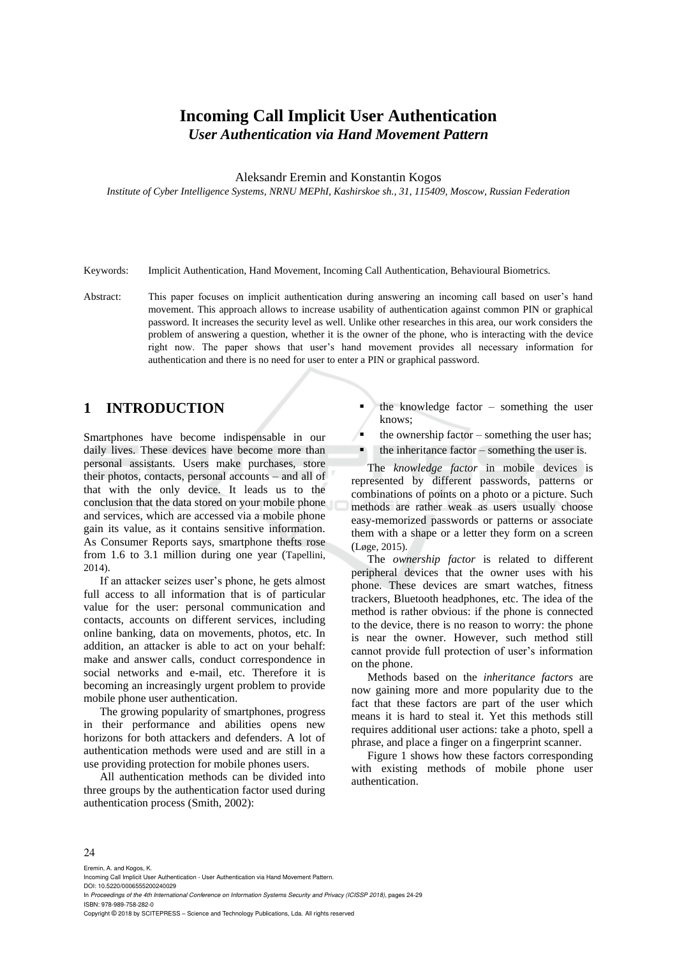# **Incoming Call Implicit User Authentication** *User Authentication via Hand Movement Pattern*

Aleksandr Eremin and Konstantin Kogos

*Institute of Cyber Intelligence Systems, NRNU MEPhI, Kashirskoe sh., 31, 115409, Moscow, Russian Federation*

Keywords: Implicit Authentication, Hand Movement, Incoming Call Authentication, Behavioural Biometrics.

Abstract: This paper focuses on implicit authentication during answering an incoming call based on user's hand movement. This approach allows to increase usability of authentication against common PIN or graphical password. It increases the security level as well. Unlike other researches in this area, our work considers the problem of answering a question, whether it is the owner of the phone, who is interacting with the device right now. The paper shows that user's hand movement provides all necessary information for authentication and there is no need for user to enter a PIN or graphical password.

## **1 INTRODUCTION**

Smartphones have become indispensable in our daily lives. These devices have become more than personal assistants. Users make purchases, store their photos, contacts, personal accounts – and all of that with the only device. It leads us to the conclusion that the data stored on your mobile phone and services, which are accessed via a mobile phone gain its value, as it contains sensitive information. As Consumer Reports says, smartphone thefts rose from 1.6 to 3.1 million during one year (Tapellini, 2014).

If an attacker seizes user's phone, he gets almost full access to all information that is of particular value for the user: personal communication and contacts, accounts on different services, including online banking, data on movements, photos, etc. In addition, an attacker is able to act on your behalf: make and answer calls, conduct correspondence in social networks and e-mail, etc. Therefore it is becoming an increasingly urgent problem to provide mobile phone user authentication.

The growing popularity of smartphones, progress in their performance and abilities opens new horizons for both attackers and defenders. A lot of authentication methods were used and are still in a use providing protection for mobile phones users.

All authentication methods can be divided into three groups by the authentication factor used during authentication process (Smith, 2002):

- the knowledge factor  $-$  something the user knows;
- the ownership factor something the user has;
- the inheritance factor something the user is.

The *knowledge factor* in mobile devices is represented by different passwords, patterns or combinations of points on a photo or a picture. Such methods are rather weak as users usually choose easy-memorized passwords or patterns or associate them with a shape or a letter they form on a screen (Løge, 2015).

The *ownership factor* is related to different peripheral devices that the owner uses with his phone. These devices are smart watches, fitness trackers, Bluetooth headphones, etc. The idea of the method is rather obvious: if the phone is connected to the device, there is no reason to worry: the phone is near the owner. However, such method still cannot provide full protection of user's information on the phone.

Methods based on the *inheritance factors* are now gaining more and more popularity due to the fact that these factors are part of the user which means it is hard to steal it. Yet this methods still requires additional user actions: take a photo, spell a phrase, and place a finger on a fingerprint scanner.

Figure 1 shows how these factors corresponding with existing methods of mobile phone user authentication.

#### $24$

Eremin, A. and Kogos, K. Incoming Call Implicit User Authentication - User Authentication via Hand Movement Pattern. DOI: 10.5220/0006555200240029 In *Proceedings of the 4th International Conference on Information Systems Security and Privacy (ICISSP 2018)*, pages 24-29 ISBN: 978-989-758-282-0

Copyright © 2018 by SCITEPRESS – Science and Technology Publications, Lda. All rights reserved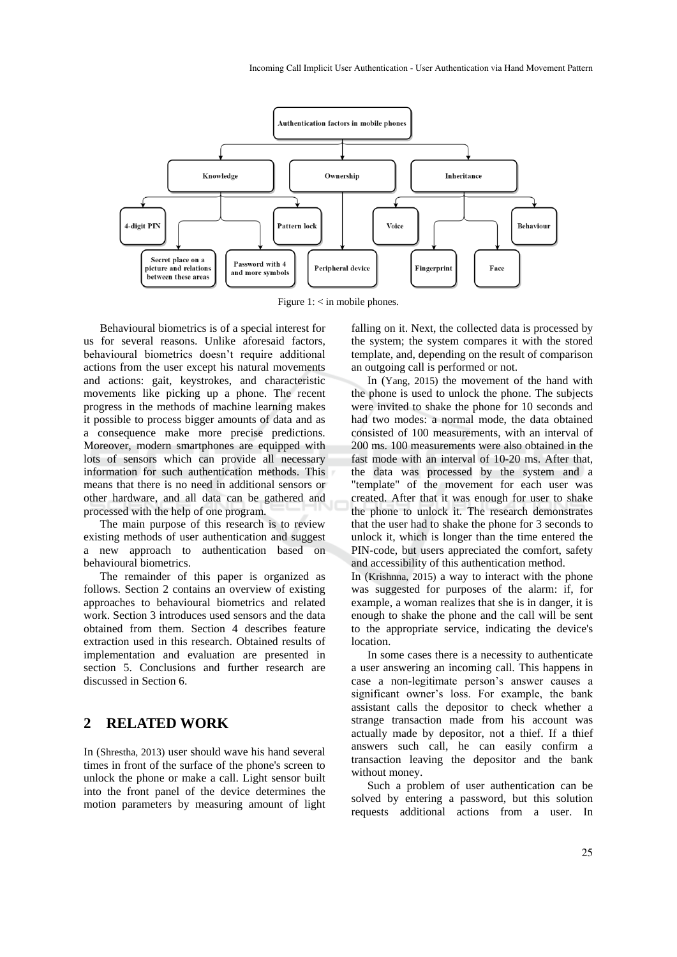

Figure  $1:$   $\leq$  in mobile phones.

Behavioural biometrics is of a special interest for us for several reasons. Unlike aforesaid factors, behavioural biometrics doesn't require additional actions from the user except his natural movements and actions: gait, keystrokes, and characteristic movements like picking up a phone. The recent progress in the methods of machine learning makes it possible to process bigger amounts of data and as a consequence make more precise predictions. Moreover, modern smartphones are equipped with lots of sensors which can provide all necessary information for such authentication methods. This means that there is no need in additional sensors or other hardware, and all data can be gathered and processed with the help of one program.

The main purpose of this research is to review existing methods of user authentication and suggest a new approach to authentication based on behavioural biometrics.

The remainder of this paper is organized as follows. Section 2 contains an overview of existing approaches to behavioural biometrics and related work. Section 3 introduces used sensors and the data obtained from them. Section 4 describes feature extraction used in this research. Obtained results of implementation and evaluation are presented in section 5. Conclusions and further research are discussed in Section 6.

### **2 RELATED WORK**

In (Shrestha, 2013) user should wave his hand several times in front of the surface of the phone's screen to unlock the phone or make a call. Light sensor built into the front panel of the device determines the motion parameters by measuring amount of light falling on it. Next, the collected data is processed by the system; the system compares it with the stored template, and, depending on the result of comparison an outgoing call is performed or not.

In (Yang, 2015) the movement of the hand with the phone is used to unlock the phone. The subjects were invited to shake the phone for 10 seconds and had two modes: a normal mode, the data obtained consisted of 100 measurements, with an interval of 200 ms. 100 measurements were also obtained in the fast mode with an interval of 10-20 ms. After that, the data was processed by the system and a "template" of the movement for each user was created. After that it was enough for user to shake the phone to unlock it. The research demonstrates that the user had to shake the phone for 3 seconds to unlock it, which is longer than the time entered the PIN-code, but users appreciated the comfort, safety and accessibility of this authentication method.

In (Krishnna, 2015) a way to interact with the phone was suggested for purposes of the alarm: if, for example, a woman realizes that she is in danger, it is enough to shake the phone and the call will be sent to the appropriate service, indicating the device's location.

In some cases there is a necessity to authenticate a user answering an incoming call. This happens in case a non-legitimate person's answer causes a significant owner's loss. For example, the bank assistant calls the depositor to check whether a strange transaction made from his account was actually made by depositor, not a thief. If a thief answers such call, he can easily confirm a transaction leaving the depositor and the bank without money.

Such a problem of user authentication can be solved by entering a password, but this solution requests additional actions from a user. In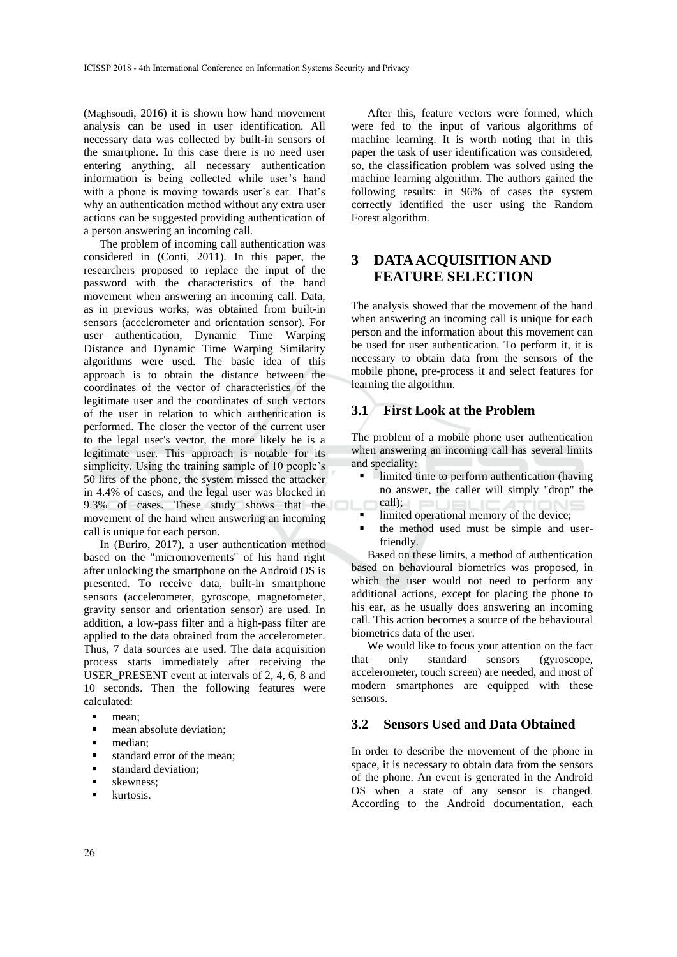(Maghsoudi, 2016) it is shown how hand movement analysis can be used in user identification. All necessary data was collected by built-in sensors of the smartphone. In this case there is no need user entering anything, all necessary authentication information is being collected while user's hand with a phone is moving towards user's ear. That's why an authentication method without any extra user actions can be suggested providing authentication of a person answering an incoming call.

The problem of incoming call authentication was considered in (Conti, 2011). In this paper, the researchers proposed to replace the input of the password with the characteristics of the hand movement when answering an incoming call. Data, as in previous works, was obtained from built-in sensors (accelerometer and orientation sensor). For user authentication, Dynamic Time Warping Distance and Dynamic Time Warping Similarity algorithms were used. The basic idea of this approach is to obtain the distance between the coordinates of the vector of characteristics of the legitimate user and the coordinates of such vectors of the user in relation to which authentication is performed. The closer the vector of the current user to the legal user's vector, the more likely he is a legitimate user. This approach is notable for its simplicity. Using the training sample of 10 people's 50 lifts of the phone, the system missed the attacker in 4.4% of cases, and the legal user was blocked in 9.3% of cases. These study shows that the movement of the hand when answering an incoming call is unique for each person.

In (Buriro, 2017), a user authentication method based on the "micromovements" of his hand right after unlocking the smartphone on the Android OS is presented. To receive data, built-in smartphone sensors (accelerometer, gyroscope, magnetometer, gravity sensor and orientation sensor) are used. In addition, a low-pass filter and a high-pass filter are applied to the data obtained from the accelerometer. Thus, 7 data sources are used. The data acquisition process starts immediately after receiving the USER\_PRESENT event at intervals of 2, 4, 6, 8 and 10 seconds. Then the following features were calculated:

- mean:
- mean absolute deviation:
- median<sup>.</sup>
- standard error of the mean:
- standard deviation:
- skewness:
- kurtosis.

After this, feature vectors were formed, which were fed to the input of various algorithms of machine learning. It is worth noting that in this paper the task of user identification was considered, so, the classification problem was solved using the machine learning algorithm. The authors gained the following results: in 96% of cases the system correctly identified the user using the Random Forest algorithm.

# **3 DATA ACQUISITION AND FEATURE SELECTION**

The analysis showed that the movement of the hand when answering an incoming call is unique for each person and the information about this movement can be used for user authentication. To perform it, it is necessary to obtain data from the sensors of the mobile phone, pre-process it and select features for learning the algorithm.

#### **3.1 First Look at the Problem**

The problem of a mobile phone user authentication when answering an incoming call has several limits and speciality:

- limited time to perform authentication (having no answer, the caller will simply "drop" the call);
- limited operational memory of the device;
- the method used must be simple and userfriendly.

Based on these limits, a method of authentication based on behavioural biometrics was proposed, in which the user would not need to perform any additional actions, except for placing the phone to his ear, as he usually does answering an incoming call. This action becomes a source of the behavioural biometrics data of the user.

We would like to focus your attention on the fact that only standard sensors (gyroscope, accelerometer, touch screen) are needed, and most of modern smartphones are equipped with these sensors.

#### **3.2 Sensors Used and Data Obtained**

In order to describe the movement of the phone in space, it is necessary to obtain data from the sensors of the phone. An event is generated in the Android OS when a state of any sensor is changed. According to the Android documentation, each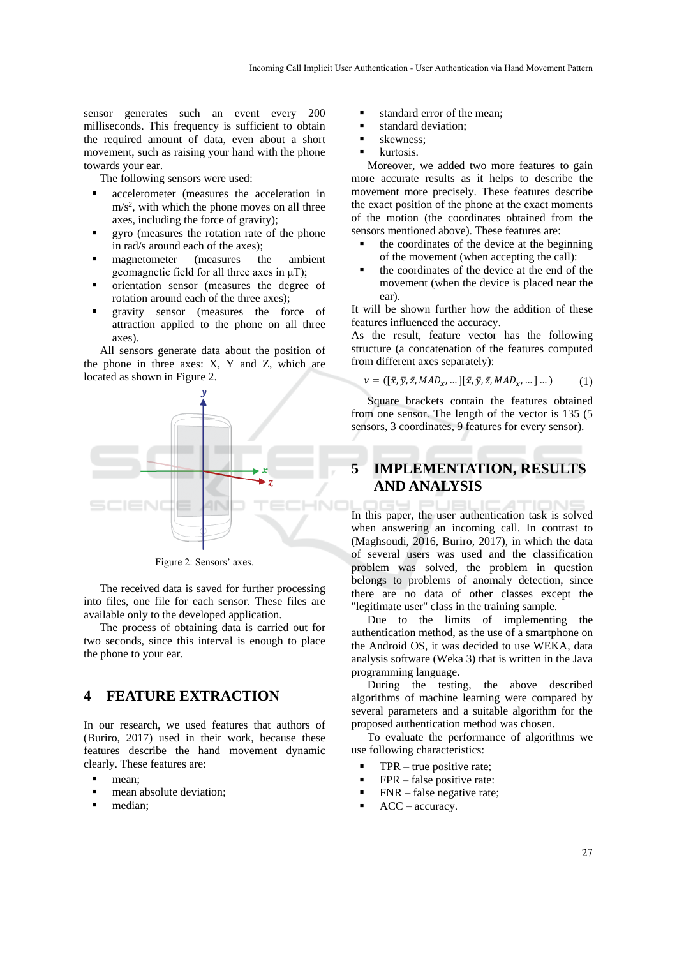sensor generates such an event every 200 milliseconds. This frequency is sufficient to obtain the required amount of data, even about a short movement, such as raising your hand with the phone towards your ear.

The following sensors were used:

- accelerometer (measures the acceleration in  $m/s<sup>2</sup>$ , with which the phone moves on all three axes, including the force of gravity);
- gyro (measures the rotation rate of the phone in rad/s around each of the axes);
- magnetometer (measures the ambient geomagnetic field for all three axes in μT);
- orientation sensor (measures the degree of rotation around each of the three axes);
- gravity sensor (measures the force of attraction applied to the phone on all three axes).

All sensors generate data about the position of the phone in three axes: X, Y and Z, which are located as shown in Figure 2.



Figure 2: Sensors' axes.

The received data is saved for further processing into files, one file for each sensor. These files are available only to the developed application.

The process of obtaining data is carried out for two seconds, since this interval is enough to place the phone to your ear.

## **4 FEATURE EXTRACTION**

In our research, we used features that authors of (Buriro, 2017) used in their work, because these features describe the hand movement dynamic clearly. These features are:

- mean;
- mean absolute deviation:
- median;
- standard error of the mean;
- standard deviation:
- skewness;
- kurtosis.

Moreover, we added two more features to gain more accurate results as it helps to describe the movement more precisely. These features describe the exact position of the phone at the exact moments of the motion (the coordinates obtained from the sensors mentioned above). These features are:

- the coordinates of the device at the beginning of the movement (when accepting the call):
- the coordinates of the device at the end of the movement (when the device is placed near the ear).

It will be shown further how the addition of these features influenced the accuracy.

As the result, feature vector has the following structure (a concatenation of the features computed from different axes separately):

$$
\nu = ([\bar{x}, \bar{y}, \bar{z}, \text{MAD}_{x}, \dots][\bar{x}, \bar{y}, \bar{z}, \text{MAD}_{x}, \dots] \dots)
$$
(1)

Square brackets contain the features obtained from one sensor. The length of the vector is 135 (5 sensors, 3 coordinates, 9 features for every sensor).

# **5 IMPLEMENTATION, RESULTS AND ANALYSIS**

In this paper, the user authentication task is solved when answering an incoming call. In contrast to (Maghsoudi, 2016, Buriro, 2017), in which the data of several users was used and the classification problem was solved, the problem in question belongs to problems of anomaly detection, since there are no data of other classes except the "legitimate user" class in the training sample.

Due to the limits of implementing the authentication method, as the use of a smartphone on the Android OS, it was decided to use WEKA, data analysis software (Weka 3) that is written in the Java programming language.

During the testing, the above described algorithms of machine learning were compared by several parameters and a suitable algorithm for the proposed authentication method was chosen.

To evaluate the performance of algorithms we use following characteristics:

- $TPR true positive rate;$
- FPR false positive rate:
- $FNR false$  negative rate;
- $ACC accuracy.$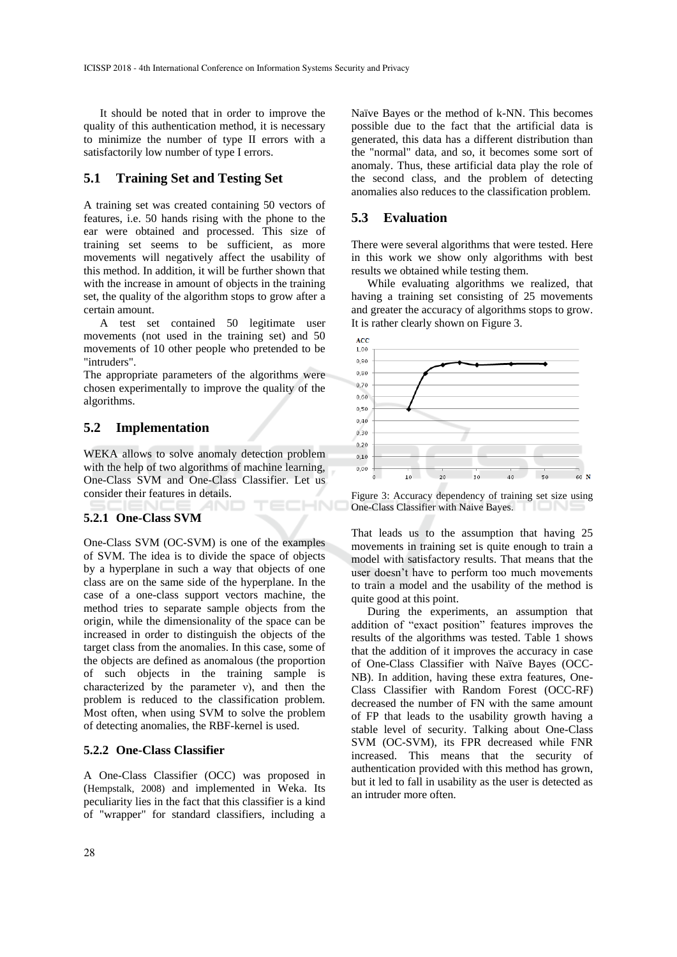It should be noted that in order to improve the quality of this authentication method, it is necessary to minimize the number of type II errors with a satisfactorily low number of type I errors.

#### **5.1 Training Set and Testing Set**

A training set was created containing 50 vectors of features, i.e. 50 hands rising with the phone to the ear were obtained and processed. This size of training set seems to be sufficient, as more movements will negatively affect the usability of this method. In addition, it will be further shown that with the increase in amount of objects in the training set, the quality of the algorithm stops to grow after a certain amount.

A test set contained 50 legitimate user movements (not used in the training set) and 50 movements of 10 other people who pretended to be "intruders".

The appropriate parameters of the algorithms were chosen experimentally to improve the quality of the algorithms.

### **5.2 Implementation**

WEKA allows to solve anomaly detection problem with the help of two algorithms of machine learning, One-Class SVM and One-Class Classifier. Let us consider their features in details. ECHNO

#### **5.2.1 One-Class SVM**

One-Class SVM (OC-SVM) is one of the examples of SVM. The idea is to divide the space of objects by a hyperplane in such a way that objects of one class are on the same side of the hyperplane. In the case of a one-class support vectors machine, the method tries to separate sample objects from the origin, while the dimensionality of the space can be increased in order to distinguish the objects of the target class from the anomalies. In this case, some of the objects are defined as anomalous (the proportion of such objects in the training sample is characterized by the parameter ν), and then the problem is reduced to the classification problem. Most often, when using SVM to solve the problem of detecting anomalies, the RBF-kernel is used.

#### **5.2.2 One-Class Classifier**

A One-Class Classifier (OCC) was proposed in (Hempstalk, 2008) and implemented in Weka. Its peculiarity lies in the fact that this classifier is a kind of "wrapper" for standard classifiers, including a

Naïve Bayes or the method of k-NN. This becomes possible due to the fact that the artificial data is generated, this data has a different distribution than the "normal" data, and so, it becomes some sort of anomaly. Thus, these artificial data play the role of the second class, and the problem of detecting anomalies also reduces to the classification problem.

#### **5.3 Evaluation**

There were several algorithms that were tested. Here in this work we show only algorithms with best results we obtained while testing them.

While evaluating algorithms we realized, that having a training set consisting of 25 movements and greater the accuracy of algorithms stops to grow. It is rather clearly shown on Figure 3.



Figure 3: Accuracy dependency of training set size using One-Class Classifier with Naive Bayes.

That leads us to the assumption that having 25 movements in training set is quite enough to train a model with satisfactory results. That means that the user doesn't have to perform too much movements to train a model and the usability of the method is quite good at this point.

During the experiments, an assumption that addition of "exact position" features improves the results of the algorithms was tested. Table 1 shows that the addition of it improves the accuracy in case of One-Class Classifier with Naïve Bayes (OCC-NB). In addition, having these extra features, One-Class Classifier with Random Forest (OCC-RF) decreased the number of FN with the same amount of FP that leads to the usability growth having a stable level of security. Talking about One-Class SVM (OC-SVM), its FPR decreased while FNR increased. This means that the security of authentication provided with this method has grown, but it led to fall in usability as the user is detected as an intruder more often.